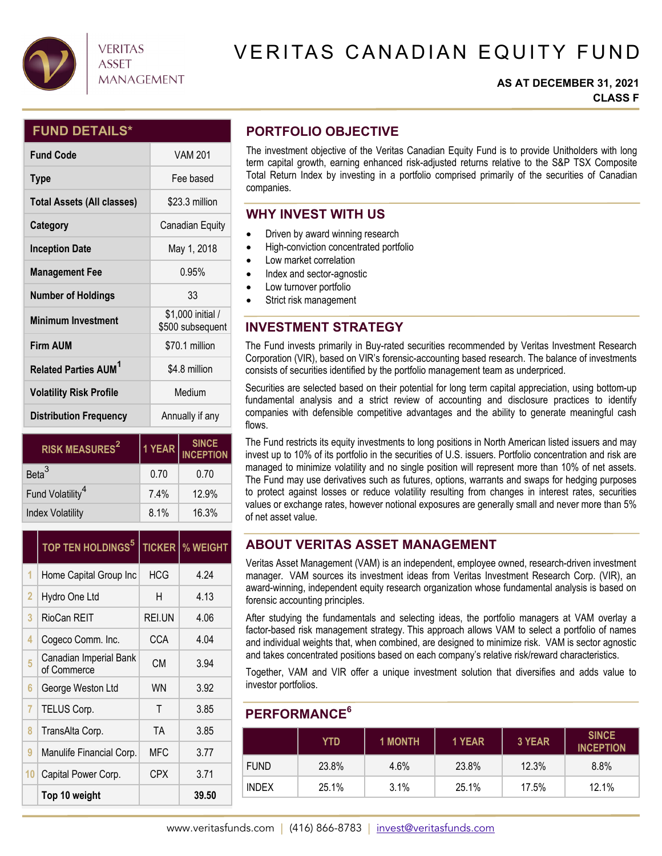

## **VERITAS ASSET MANAGEMENT**

# VERITAS CANADIAN EQUITY FUND

### **AS AT DECEMBER 31, 2021 CLASS F**

## **FUND DETAILS\***

| <b>Fund Code</b>                       | <b>VAM 201</b>                        |  |  |
|----------------------------------------|---------------------------------------|--|--|
| <b>Type</b>                            | Fee based                             |  |  |
| <b>Total Assets (All classes)</b>      | \$23.3 million                        |  |  |
| Category                               | Canadian Equity                       |  |  |
| <b>Inception Date</b>                  | May 1, 2018                           |  |  |
| <b>Management Fee</b>                  | 0.95%                                 |  |  |
| <b>Number of Holdings</b>              | 33                                    |  |  |
| <b>Minimum Investment</b>              | \$1,000 initial /<br>\$500 subsequent |  |  |
| <b>Firm AUM</b>                        | \$70.1 million                        |  |  |
| <b>Related Parties AUM<sup>1</sup></b> | \$4.8 million                         |  |  |
| <b>Volatility Risk Profile</b>         | Medium                                |  |  |
| <b>Distribution Frequency</b>          | Annually if any                       |  |  |

| <b>RISK MEASURES<sup>2</sup></b> | 1 YEAR | SINCE<br>INCEPTION |  |
|----------------------------------|--------|--------------------|--|
| Beta <sup>3</sup>                | 0.70   | 0.70               |  |
| Fund Volatility <sup>4</sup>     | 7.4%   | 12.9%              |  |
| <b>Index Volatility</b>          | 8.1%   | 16.3%              |  |

|                | <b>TOP TEN HOLDINGS<sup>5</sup></b>   | <b>TICKER</b> | % WEIGHT |
|----------------|---------------------------------------|---------------|----------|
| 1              | Home Capital Group Inc                | <b>HCG</b>    | 4.24     |
| $\overline{2}$ | Hydro One Ltd                         | Н             | 4.13     |
| 3              | RioCan REIT                           | REI.UN        | 4.06     |
| 4              | Cogeco Comm. Inc.                     | CCA           | 4.04     |
| 5              | Canadian Imperial Bank<br>of Commerce | <b>CM</b>     | 3.94     |
| 6              | George Weston Ltd                     | <b>WN</b>     | 3.92     |
| 7              | TELUS Corp.                           | Τ             | 3.85     |
| 8              | TransAlta Corp.                       | TA            | 3.85     |
| 9              | Manulife Financial Corp.              | MFC           | 3.77     |
| 10             | Capital Power Corp.                   | CPX           | 3.71     |
|                | Top 10 weight                         |               | 39.50    |

## **PORTFOLIO OBJECTIVE**

The investment objective of the Veritas Canadian Equity Fund is to provide Unitholders with long term capital growth, earning enhanced risk-adjusted returns relative to the S&P TSX Composite Total Return Index by investing in a portfolio comprised primarily of the securities of Canadian companies.

## **WHY INVEST WITH US**

- Driven by award winning research
- $\bullet$  High-conviction concentrated portfolio
- Low market correlation
- Index and sector-agnostic
- Low turnover portfolio
- Strict risk management

## **INVESTMENT STRATEGY**

The Fund invests primarily in Buy-rated securities recommended by Veritas Investment Research Corporation (VIR), based on VIR's forensic-accounting based research. The balance of investments consists of securities identified by the portfolio management team as underpriced.

Securities are selected based on their potential for long term capital appreciation, using bottom-up fundamental analysis and a strict review of accounting and disclosure practices to identify companies with defensible competitive advantages and the ability to generate meaningful cash flows.

The Fund restricts its equity investments to long positions in North American listed issuers and may invest up to 10% of its portfolio in the securities of U.S. issuers. Portfolio concentration and risk are managed to minimize volatility and no single position will represent more than 10% of net assets. The Fund may use derivatives such as futures, options, warrants and swaps for hedging purposes to protect against losses or reduce volatility resulting from changes in interest rates, securities values or exchange rates, however notional exposures are generally small and never more than 5% of net asset value.

## **ABOUT VERITAS ASSET MANAGEMENT**

Veritas Asset Management (VAM) is an independent, employee owned, research-driven investment manager. VAM sources its investment ideas from Veritas Investment Research Corp. (VIR), an award-winning, independent equity research organization whose fundamental analysis is based on forensic accounting principles.

After studying the fundamentals and selecting ideas, the portfolio managers at VAM overlay a factor-based risk management strategy. This approach allows VAM to select a portfolio of names and individual weights that, when combined, are designed to minimize risk. VAM is sector agnostic and takes concentrated positions based on each company's relative risk/reward characteristics.

Together, VAM and VIR offer a unique investment solution that diversifies and adds value to investor portfolios.

## **PERFORMANCE6**

|              | YTD   | <b>1 MONTH</b> | 1 YEAR | 3 YEAR | <b>SINCE</b><br><b>INCEPTION</b> |
|--------------|-------|----------------|--------|--------|----------------------------------|
| <b>FUND</b>  | 23.8% | 4.6%           | 23.8%  | 12.3%  | 8.8%                             |
| <b>INDEX</b> | 25.1% | 3.1%           | 25.1%  | 17.5%  | 12.1%                            |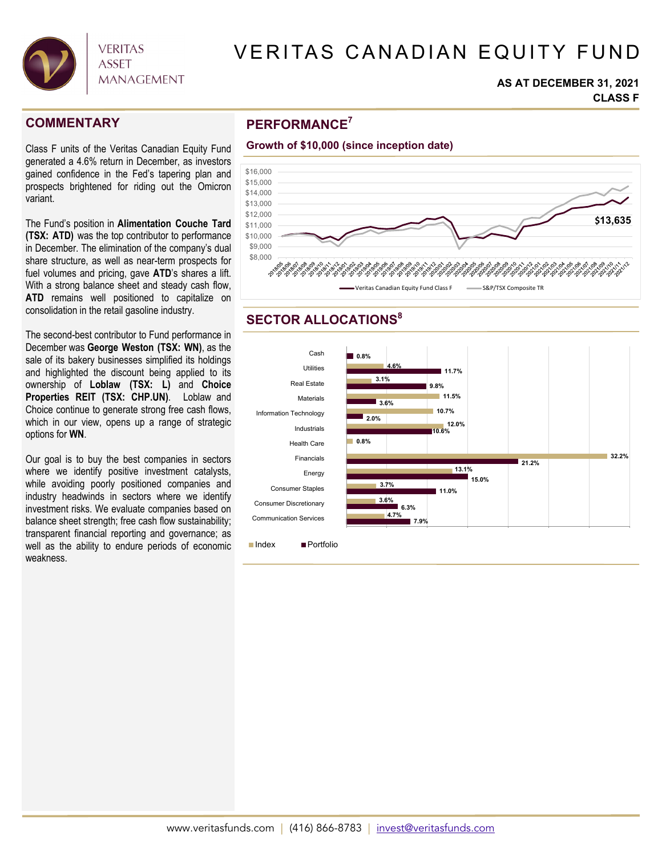

# VERITAS CANADIAN EQUITY FUND

#### **AS AT DECEMBER 31, 2021 CLASS F**

Class F units of the Veritas Canadian Equity Fund generated a 4.6% return in December, as investors gained confidence in the Fed's tapering plan and prospects brightened for riding out the Omicron variant.

The Fund's position in **Alimentation Couche Tard (TSX: ATD)** was the top contributor to performance in December. The elimination of the company's dual share structure, as well as near-term prospects for fuel volumes and pricing, gave **ATD**'s shares a lift. With a strong balance sheet and steady cash flow, **ATD** remains well positioned to capitalize on consolidation in the retail gasoline industry.

The second-best contributor to Fund performance in December was **George Weston (TSX: WN)**, as the sale of its bakery businesses simplified its holdings and highlighted the discount being applied to its ownership of **Loblaw (TSX: L)** and **Choice Properties REIT (TSX: CHP.UN)**.Loblaw and Choice continue to generate strong free cash flows, which in our view, opens up a range of strategic options for **WN**.

Our goal is to buy the best companies in sectors where we identify positive investment catalysts, while avoiding poorly positioned companies and industry headwinds in sectors where we identify investment risks. We evaluate companies based on balance sheet strength; free cash flow sustainability; transparent financial reporting and governance; as well as the ability to endure periods of economic weakness.

## **PERFORMANCE COMMENTARY <sup>7</sup>**



## **SECTOR ALLOCATIONS<sup>8</sup>**



■Index ■ Portfolio